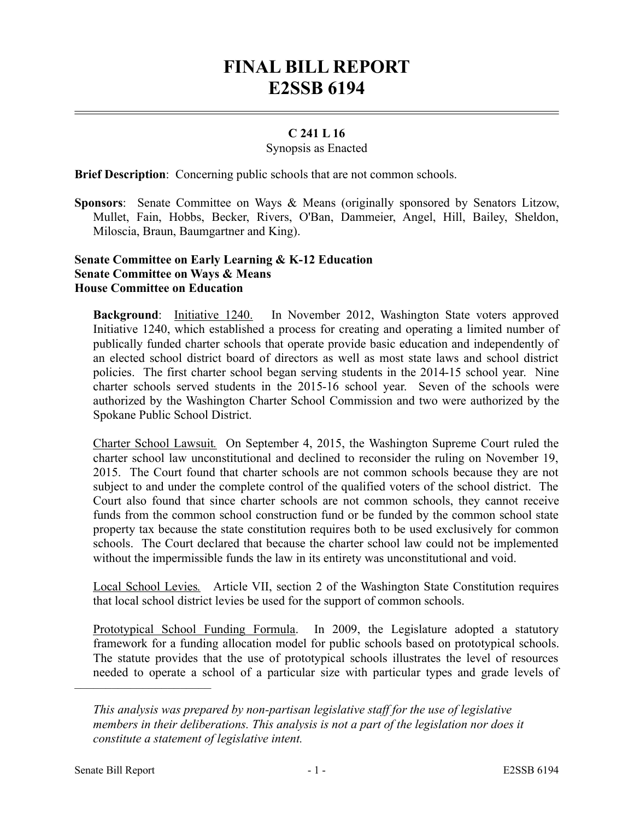# **FINAL BILL REPORT E2SSB 6194**

## **C 241 L 16**

#### Synopsis as Enacted

**Brief Description**: Concerning public schools that are not common schools.

**Sponsors**: Senate Committee on Ways & Means (originally sponsored by Senators Litzow, Mullet, Fain, Hobbs, Becker, Rivers, O'Ban, Dammeier, Angel, Hill, Bailey, Sheldon, Miloscia, Braun, Baumgartner and King).

#### **Senate Committee on Early Learning & K-12 Education Senate Committee on Ways & Means House Committee on Education**

**Background**: Initiative 1240. In November 2012, Washington State voters approved Initiative 1240, which established a process for creating and operating a limited number of publically funded charter schools that operate provide basic education and independently of an elected school district board of directors as well as most state laws and school district policies. The first charter school began serving students in the 2014-15 school year. Nine charter schools served students in the 2015-16 school year. Seven of the schools were authorized by the Washington Charter School Commission and two were authorized by the Spokane Public School District.

Charter School Lawsuit*.* On September 4, 2015, the Washington Supreme Court ruled the charter school law unconstitutional and declined to reconsider the ruling on November 19, 2015. The Court found that charter schools are not common schools because they are not subject to and under the complete control of the qualified voters of the school district. The Court also found that since charter schools are not common schools, they cannot receive funds from the common school construction fund or be funded by the common school state property tax because the state constitution requires both to be used exclusively for common schools. The Court declared that because the charter school law could not be implemented without the impermissible funds the law in its entirety was unconstitutional and void.

Local School Levies*.* Article VII, section 2 of the Washington State Constitution requires that local school district levies be used for the support of common schools.

Prototypical School Funding Formula. In 2009, the Legislature adopted a statutory framework for a funding allocation model for public schools based on prototypical schools. The statute provides that the use of prototypical schools illustrates the level of resources needed to operate a school of a particular size with particular types and grade levels of

––––––––––––––––––––––

*This analysis was prepared by non-partisan legislative staff for the use of legislative members in their deliberations. This analysis is not a part of the legislation nor does it constitute a statement of legislative intent.*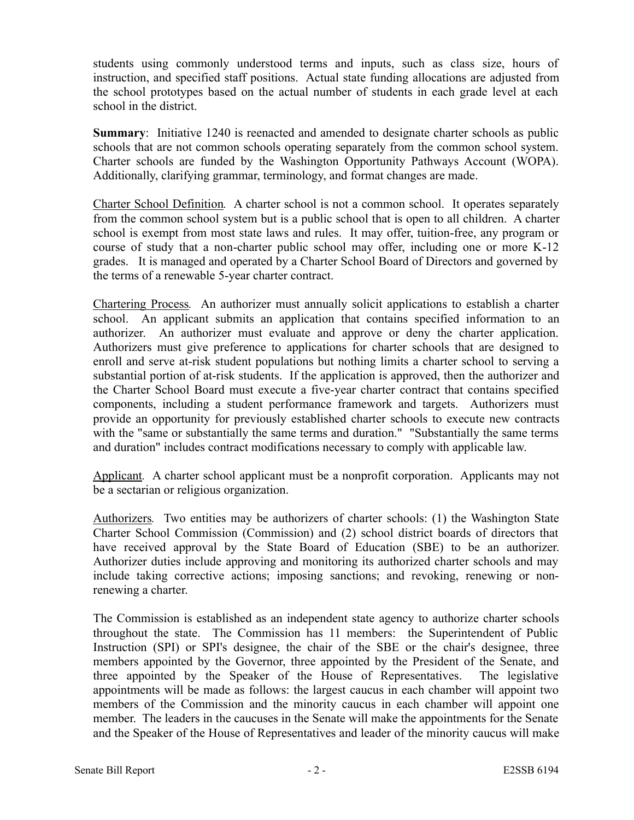students using commonly understood terms and inputs, such as class size, hours of instruction, and specified staff positions. Actual state funding allocations are adjusted from the school prototypes based on the actual number of students in each grade level at each school in the district.

**Summary:** Initiative 1240 is reenacted and amended to designate charter schools as public schools that are not common schools operating separately from the common school system. Charter schools are funded by the Washington Opportunity Pathways Account (WOPA). Additionally, clarifying grammar, terminology, and format changes are made.

Charter School Definition*.* A charter school is not a common school. It operates separately from the common school system but is a public school that is open to all children. A charter school is exempt from most state laws and rules. It may offer, tuition-free, any program or course of study that a non-charter public school may offer, including one or more K-12 grades. It is managed and operated by a Charter School Board of Directors and governed by the terms of a renewable 5-year charter contract.

Chartering Process*.* An authorizer must annually solicit applications to establish a charter school. An applicant submits an application that contains specified information to an authorizer. An authorizer must evaluate and approve or deny the charter application. Authorizers must give preference to applications for charter schools that are designed to enroll and serve at-risk student populations but nothing limits a charter school to serving a substantial portion of at-risk students. If the application is approved, then the authorizer and the Charter School Board must execute a five-year charter contract that contains specified components, including a student performance framework and targets. Authorizers must provide an opportunity for previously established charter schools to execute new contracts with the "same or substantially the same terms and duration." "Substantially the same terms and duration" includes contract modifications necessary to comply with applicable law.

Applicant*.* A charter school applicant must be a nonprofit corporation. Applicants may not be a sectarian or religious organization.

Authorizers*.* Two entities may be authorizers of charter schools: (1) the Washington State Charter School Commission (Commission) and (2) school district boards of directors that have received approval by the State Board of Education (SBE) to be an authorizer. Authorizer duties include approving and monitoring its authorized charter schools and may include taking corrective actions; imposing sanctions; and revoking, renewing or nonrenewing a charter.

The Commission is established as an independent state agency to authorize charter schools throughout the state. The Commission has 11 members: the Superintendent of Public Instruction (SPI) or SPI's designee, the chair of the SBE or the chair's designee, three members appointed by the Governor, three appointed by the President of the Senate, and three appointed by the Speaker of the House of Representatives. The legislative appointments will be made as follows: the largest caucus in each chamber will appoint two members of the Commission and the minority caucus in each chamber will appoint one member. The leaders in the caucuses in the Senate will make the appointments for the Senate and the Speaker of the House of Representatives and leader of the minority caucus will make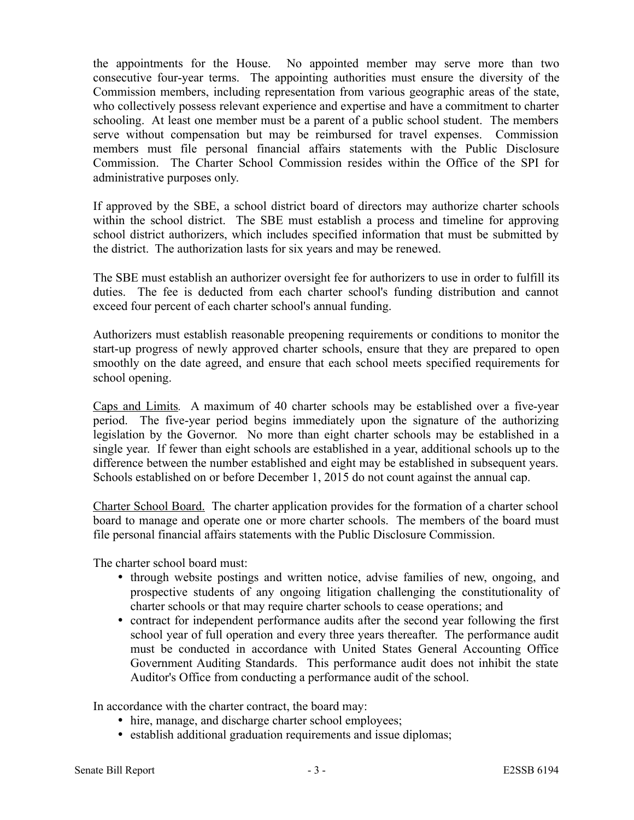the appointments for the House. No appointed member may serve more than two consecutive four-year terms. The appointing authorities must ensure the diversity of the Commission members, including representation from various geographic areas of the state, who collectively possess relevant experience and expertise and have a commitment to charter schooling. At least one member must be a parent of a public school student. The members serve without compensation but may be reimbursed for travel expenses. Commission members must file personal financial affairs statements with the Public Disclosure Commission. The Charter School Commission resides within the Office of the SPI for administrative purposes only.

If approved by the SBE, a school district board of directors may authorize charter schools within the school district. The SBE must establish a process and timeline for approving school district authorizers, which includes specified information that must be submitted by the district. The authorization lasts for six years and may be renewed.

The SBE must establish an authorizer oversight fee for authorizers to use in order to fulfill its duties. The fee is deducted from each charter school's funding distribution and cannot exceed four percent of each charter school's annual funding.

Authorizers must establish reasonable preopening requirements or conditions to monitor the start-up progress of newly approved charter schools, ensure that they are prepared to open smoothly on the date agreed, and ensure that each school meets specified requirements for school opening.

Caps and Limits*.* A maximum of 40 charter schools may be established over a five-year period. The five-year period begins immediately upon the signature of the authorizing legislation by the Governor. No more than eight charter schools may be established in a single year. If fewer than eight schools are established in a year, additional schools up to the difference between the number established and eight may be established in subsequent years. Schools established on or before December 1, 2015 do not count against the annual cap.

Charter School Board. The charter application provides for the formation of a charter school board to manage and operate one or more charter schools. The members of the board must file personal financial affairs statements with the Public Disclosure Commission.

The charter school board must:

- through website postings and written notice, advise families of new, ongoing, and prospective students of any ongoing litigation challenging the constitutionality of charter schools or that may require charter schools to cease operations; and
- contract for independent performance audits after the second year following the first school year of full operation and every three years thereafter. The performance audit must be conducted in accordance with United States General Accounting Office Government Auditing Standards. This performance audit does not inhibit the state Auditor's Office from conducting a performance audit of the school.

In accordance with the charter contract, the board may:

- hire, manage, and discharge charter school employees;
- establish additional graduation requirements and issue diplomas;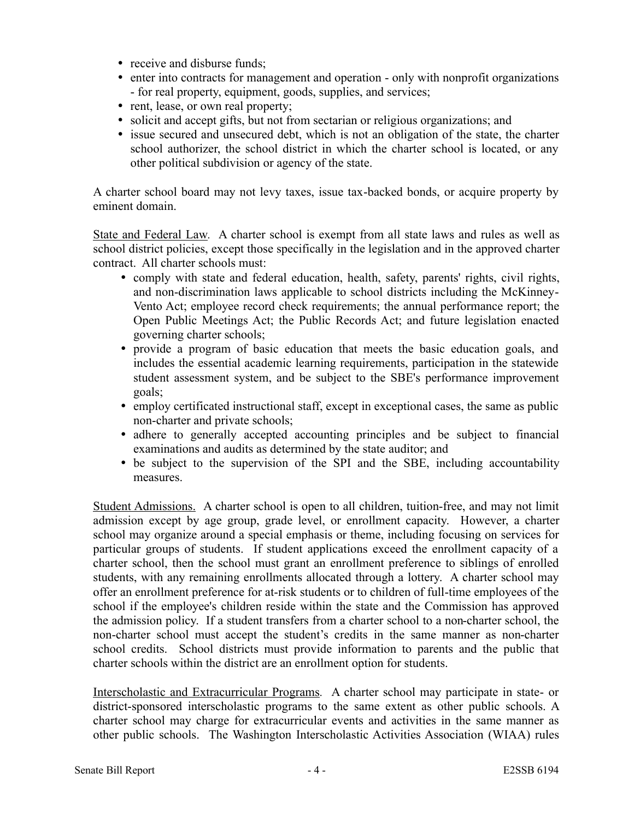- receive and disburse funds;
- enter into contracts for management and operation only with nonprofit organizations - for real property, equipment, goods, supplies, and services;
- rent, lease, or own real property;
- solicit and accept gifts, but not from sectarian or religious organizations; and
- issue secured and unsecured debt, which is not an obligation of the state, the charter school authorizer, the school district in which the charter school is located, or any other political subdivision or agency of the state.

A charter school board may not levy taxes, issue tax-backed bonds, or acquire property by eminent domain.

State and Federal Law*.* A charter school is exempt from all state laws and rules as well as school district policies, except those specifically in the legislation and in the approved charter contract. All charter schools must:

- comply with state and federal education, health, safety, parents' rights, civil rights, and non-discrimination laws applicable to school districts including the McKinney-Vento Act; employee record check requirements; the annual performance report; the Open Public Meetings Act; the Public Records Act; and future legislation enacted governing charter schools;
- provide a program of basic education that meets the basic education goals, and includes the essential academic learning requirements, participation in the statewide student assessment system, and be subject to the SBE's performance improvement goals;
- employ certificated instructional staff, except in exceptional cases, the same as public non-charter and private schools;
- adhere to generally accepted accounting principles and be subject to financial examinations and audits as determined by the state auditor; and
- be subject to the supervision of the SPI and the SBE, including accountability measures.

Student Admissions. A charter school is open to all children, tuition-free, and may not limit admission except by age group, grade level, or enrollment capacity. However, a charter school may organize around a special emphasis or theme, including focusing on services for particular groups of students. If student applications exceed the enrollment capacity of a charter school, then the school must grant an enrollment preference to siblings of enrolled students, with any remaining enrollments allocated through a lottery. A charter school may offer an enrollment preference for at-risk students or to children of full-time employees of the school if the employee's children reside within the state and the Commission has approved the admission policy. If a student transfers from a charter school to a non-charter school, the non-charter school must accept the student's credits in the same manner as non-charter school credits. School districts must provide information to parents and the public that charter schools within the district are an enrollment option for students.

Interscholastic and Extracurricular Programs*.* A charter school may participate in state- or district-sponsored interscholastic programs to the same extent as other public schools. A charter school may charge for extracurricular events and activities in the same manner as other public schools. The Washington Interscholastic Activities Association (WIAA) rules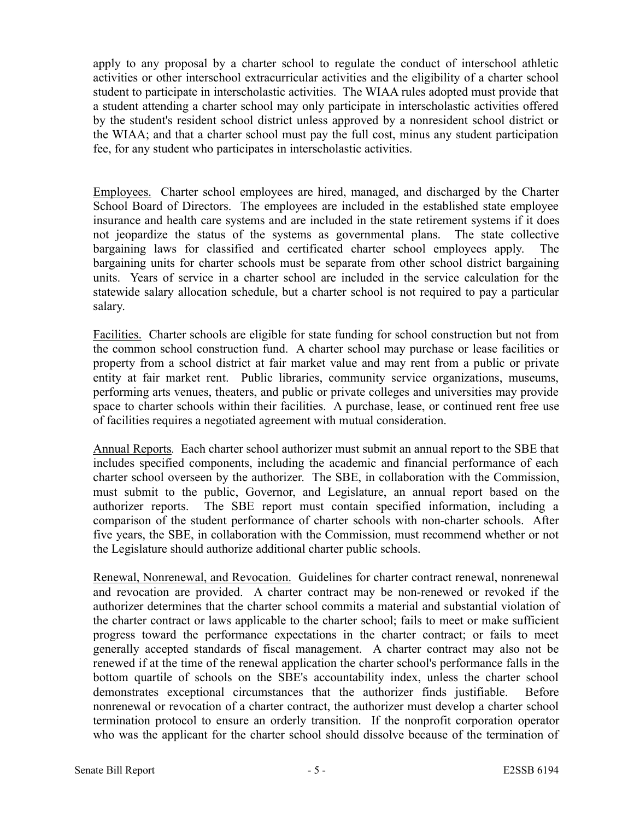apply to any proposal by a charter school to regulate the conduct of interschool athletic activities or other interschool extracurricular activities and the eligibility of a charter school student to participate in interscholastic activities. The WIAA rules adopted must provide that a student attending a charter school may only participate in interscholastic activities offered by the student's resident school district unless approved by a nonresident school district or the WIAA; and that a charter school must pay the full cost, minus any student participation fee, for any student who participates in interscholastic activities.

Employees. Charter school employees are hired, managed, and discharged by the Charter School Board of Directors. The employees are included in the established state employee insurance and health care systems and are included in the state retirement systems if it does not jeopardize the status of the systems as governmental plans. The state collective bargaining laws for classified and certificated charter school employees apply. The bargaining units for charter schools must be separate from other school district bargaining units. Years of service in a charter school are included in the service calculation for the statewide salary allocation schedule, but a charter school is not required to pay a particular salary.

Facilities. Charter schools are eligible for state funding for school construction but not from the common school construction fund. A charter school may purchase or lease facilities or property from a school district at fair market value and may rent from a public or private entity at fair market rent. Public libraries, community service organizations, museums, performing arts venues, theaters, and public or private colleges and universities may provide space to charter schools within their facilities. A purchase, lease, or continued rent free use of facilities requires a negotiated agreement with mutual consideration.

Annual Reports*.* Each charter school authorizer must submit an annual report to the SBE that includes specified components, including the academic and financial performance of each charter school overseen by the authorizer. The SBE, in collaboration with the Commission, must submit to the public, Governor, and Legislature, an annual report based on the authorizer reports. The SBE report must contain specified information, including a comparison of the student performance of charter schools with non-charter schools. After five years, the SBE, in collaboration with the Commission, must recommend whether or not the Legislature should authorize additional charter public schools.

Renewal, Nonrenewal, and Revocation. Guidelines for charter contract renewal, nonrenewal and revocation are provided. A charter contract may be non-renewed or revoked if the authorizer determines that the charter school commits a material and substantial violation of the charter contract or laws applicable to the charter school; fails to meet or make sufficient progress toward the performance expectations in the charter contract; or fails to meet generally accepted standards of fiscal management. A charter contract may also not be renewed if at the time of the renewal application the charter school's performance falls in the bottom quartile of schools on the SBE's accountability index, unless the charter school demonstrates exceptional circumstances that the authorizer finds justifiable. Before nonrenewal or revocation of a charter contract, the authorizer must develop a charter school termination protocol to ensure an orderly transition. If the nonprofit corporation operator who was the applicant for the charter school should dissolve because of the termination of